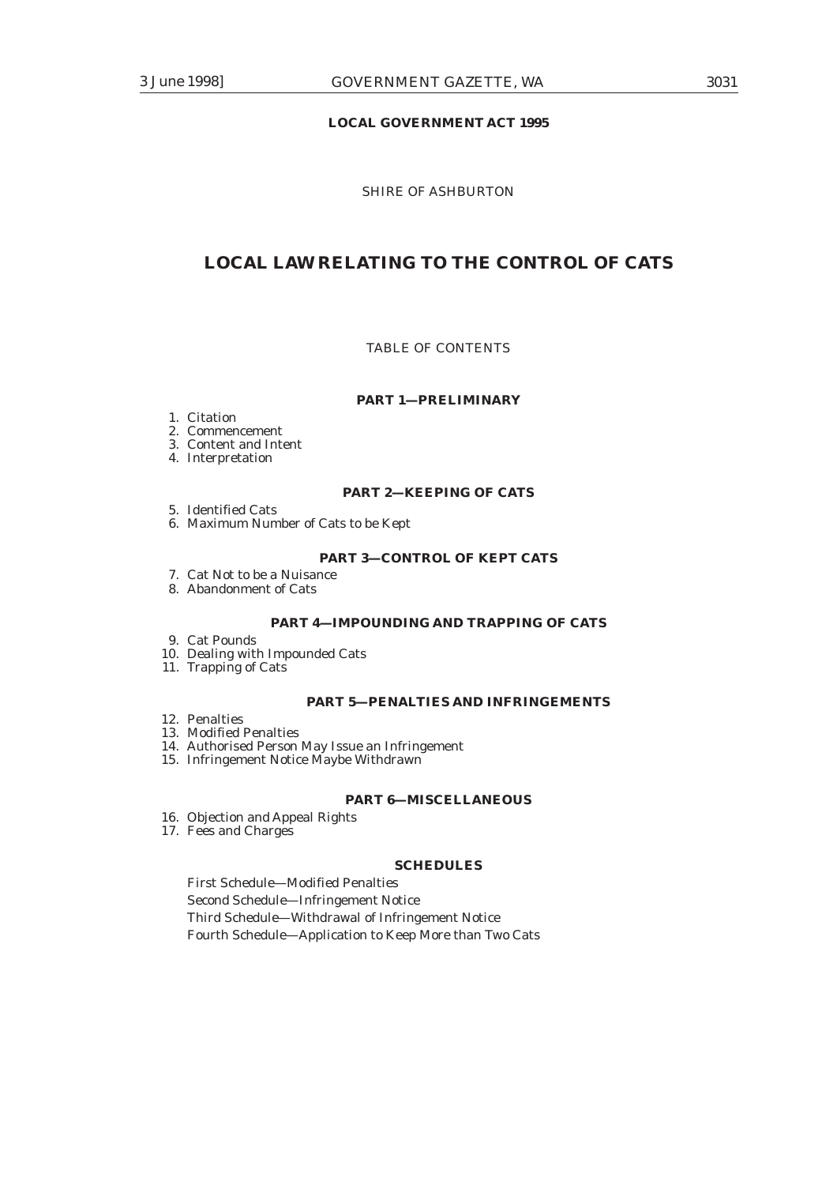## **LOCAL GOVERNMENT ACT 1995**

## SHIRE OF ASHBURTON

# **LOCAL LAW RELATING TO THE CONTROL OF CATS**

#### TABLE OF CONTENTS

#### **PART 1—PRELIMINARY**

## 1. Citation

- 2. Commencement
- 3. Content and Intent
- 4. Interpretation

## **PART 2—KEEPING OF CATS**

5. Identified Cats

6. Maximum Number of Cats to be Kept

## **PART 3—CONTROL OF KEPT CATS**

- 7. Cat Not to be a Nuisance
- 8. Abandonment of Cats

## **PART 4—IMPOUNDING AND TRAPPING OF CATS**

9. Cat Pounds

- 10. Dealing with Impounded Cats
- 11. Trapping of Cats

#### **PART 5—PENALTIES AND INFRINGEMENTS**

- 12. Penalties
- 13. Modified Penalties
- 14. Authorised Person May Issue an Infringement
- 15. Infringement Notice Maybe Withdrawn

#### **PART 6—MISCELLANEOUS**

- 16. Objection and Appeal Rights
- 17. Fees and Charges

#### **SCHEDULES**

First Schedule—Modified Penalties Second Schedule—Infringement Notice Third Schedule—Withdrawal of Infringement Notice Fourth Schedule—Application to Keep More than Two Cats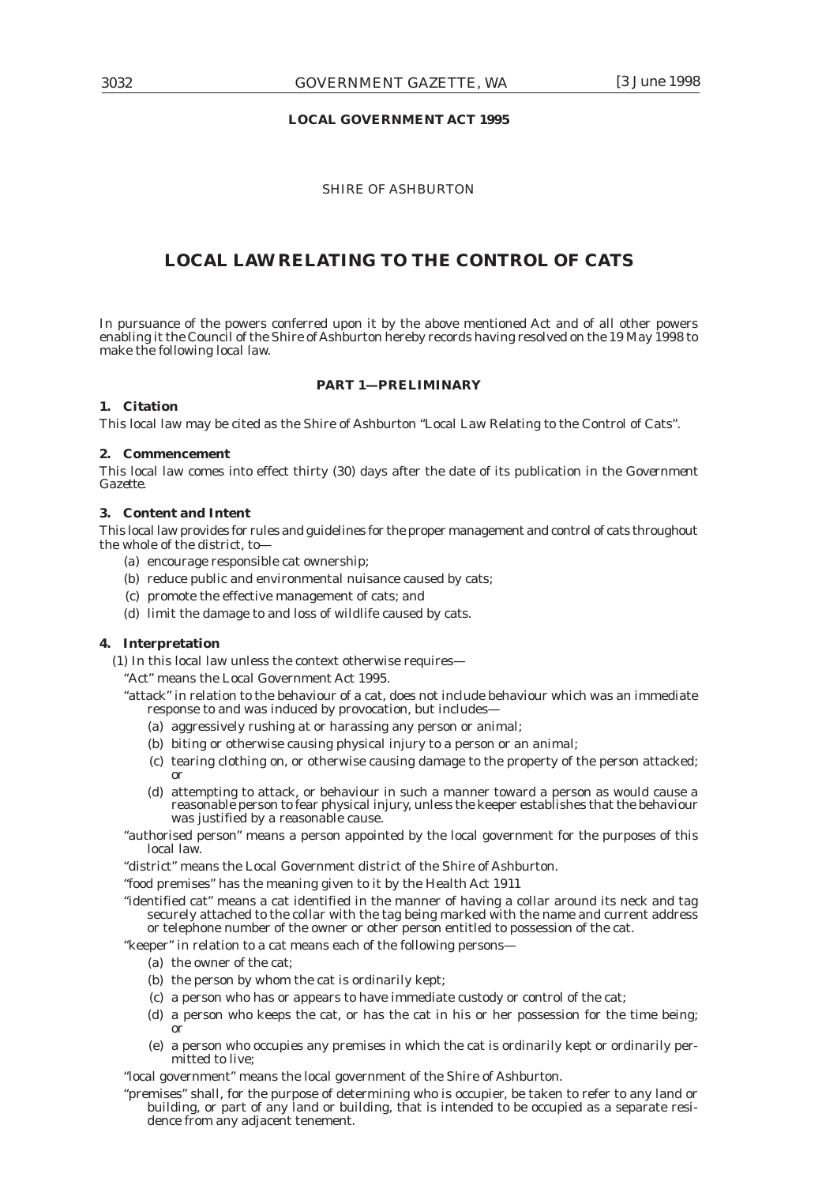## **LOCAL GOVERNMENT ACT 1995**

## SHIRE OF ASHBURTON

# **LOCAL LAW RELATING TO THE CONTROL OF CATS**

In pursuance of the powers conferred upon it by the above mentioned Act and of all other powers enabling it the Council of the Shire of Ashburton hereby records having resolved on the 19 May 1998 to make the following local law.

## **PART 1—PRELIMINARY**

## **1. Citation**

This local law may be cited as the Shire of Ashburton "Local Law Relating to the Control of Cats".

### **2. Commencement**

This local law comes into effect thirty (30) days after the date of its publication in the *Government Gazette.*

## **3. Content and Intent**

This local law provides for rules and guidelines for the proper management and control of cats throughout the whole of the district, to—

- (a) encourage responsible cat ownership;
- (b) reduce public and environmental nuisance caused by cats;
- (c) promote the effective management of cats; and
- (d) limit the damage to and loss of wildlife caused by cats.

## **4. Interpretation**

(1) In this local law unless the context otherwise requires—

"Act" means the Local Government Act 1995.

"attack" in relation to the behaviour of a cat, does not include behaviour which was an immediate response to and was induced by provocation, but includes—

- (a) aggressively rushing at or harassing any person or animal;
- (b) biting or otherwise causing physical injury to a person or an animal;
- (c) tearing clothing on, or otherwise causing damage to the property of the person attacked; or
- (d) attempting to attack, or behaviour in such a manner toward a person as would cause a reasonable person to fear physical injury, unless the keeper establishes that the behaviour was justified by a reasonable cause.
- "authorised person" means a person appointed by the local government for the purposes of this local law.

"district" means the Local Government district of the Shire of Ashburton.

"food premises" has the meaning given to it by the Health Act 1911

"identified cat" means a cat identified in the manner of having a collar around its neck and tag securely attached to the collar with the tag being marked with the name and current address or telephone number of the owner or other person entitled to possession of the cat.

"keeper" in relation to a cat means each of the following persons—

- (a) the owner of the cat;
- (b) the person by whom the cat is ordinarily kept;
- (c) a person who has or appears to have immediate custody or control of the cat;
- (d) a person who keeps the cat, or has the cat in his or her possession for the time being; or
- (e) a person who occupies any premises in which the cat is ordinarily kept or ordinarily permitted to live;

"local government" means the local government of the Shire of Ashburton.

"premises" shall, for the purpose of determining who is occupier, be taken to refer to any land or building, or part of any land or building, that is intended to be occupied as a separate residence from any adjacent tenement.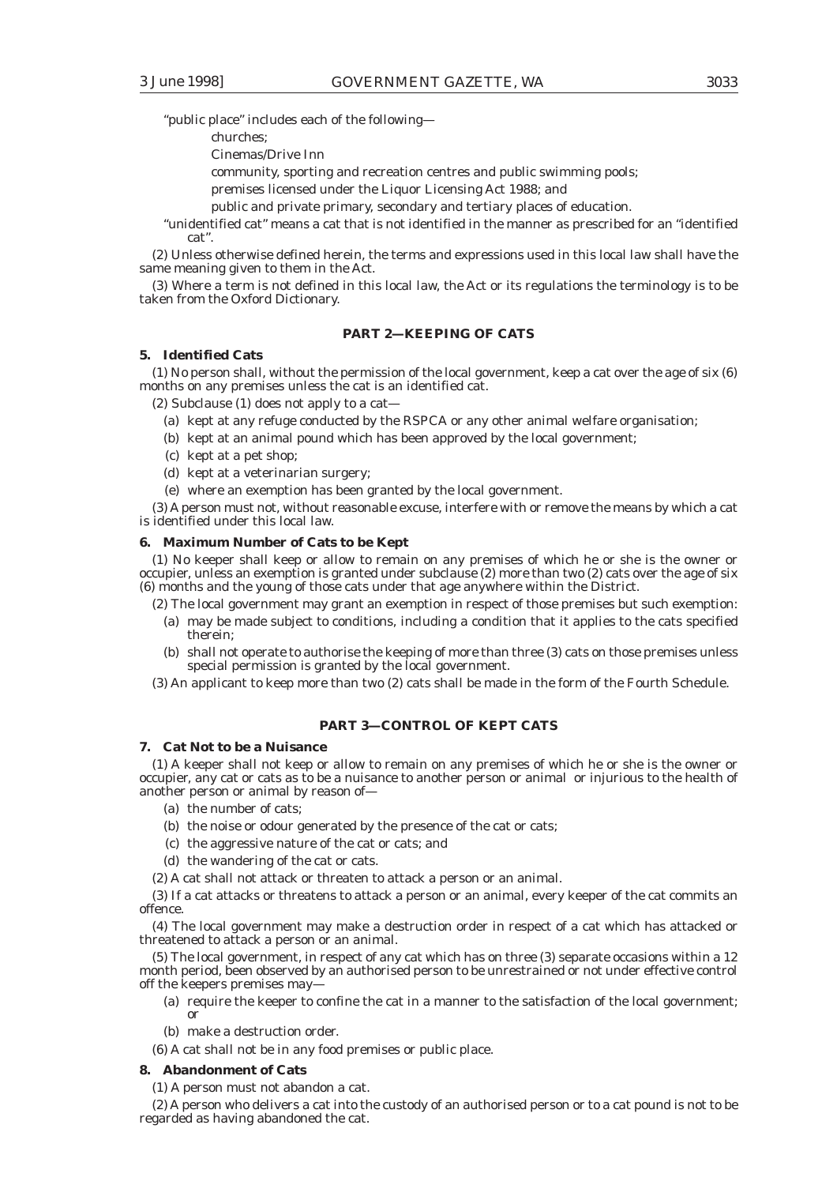"public place" includes each of the following—

churches;

Cinemas/Drive Inn

community, sporting and recreation centres and public swimming pools;

premises licensed under the Liquor Licensing Act 1988; and

public and private primary, secondary and tertiary places of education.

"unidentified cat" means a cat that is not identified in the manner as prescribed for an "identified cat".

(2) Unless otherwise defined herein, the terms and expressions used in this local law shall have the same meaning given to them in the Act.

(3) Where a term is not defined in this local law, the Act or its regulations the terminology is to be taken from the Oxford Dictionary.

## **PART 2—KEEPING OF CATS**

#### **5. Identified Cats**

(1) No person shall, without the permission of the local government, keep a cat over the age of six (6) months on any premises unless the cat is an identified cat.

(2) Subclause (1) does not apply to a cat—

- (a) kept at any refuge conducted by the RSPCA or any other animal welfare organisation;
- (b) kept at an animal pound which has been approved by the local government;
- (c) kept at a pet shop;
- (d) kept at a veterinarian surgery;
- (e) where an exemption has been granted by the local government.

(3) A person must not, without reasonable excuse, interfere with or remove the means by which a cat is identified under this local law.

#### **6. Maximum Number of Cats to be Kept**

(1) No keeper shall keep or allow to remain on any premises of which he or she is the owner or occupier, unless an exemption is granted under subclause (2) more than two (2) cats over the age of six (6) months and the young of those cats under that age anywhere within the District.

(2) The local government may grant an exemption in respect of those premises but such exemption:

- (a) may be made subject to conditions, including a condition that it applies to the cats specified therein;
- (b) shall not operate to authorise the keeping of more than three (3) cats on those premises unless special permission is granted by the local government.
- (3) An applicant to keep more than two (2) cats shall be made in the form of the Fourth Schedule.

#### **PART 3—CONTROL OF KEPT CATS**

### **7. Cat Not to be a Nuisance**

(1) A keeper shall not keep or allow to remain on any premises of which he or she is the owner or occupier, any cat or cats as to be a nuisance to another person or animal or injurious to the health of another person or animal by reason of—

- (a) the number of cats;
- (b) the noise or odour generated by the presence of the cat or cats;
- (c) the aggressive nature of the cat or cats; and
- (d) the wandering of the cat or cats.
- (2) A cat shall not attack or threaten to attack a person or an animal.

(3) If a cat attacks or threatens to attack a person or an animal, every keeper of the cat commits an offence.

(4) The local government may make a destruction order in respect of a cat which has attacked or threatened to attack a person or an animal.

(5) The local government, in respect of any cat which has on three (3) separate occasions within a 12 month period, been observed by an authorised person to be unrestrained or not under effective control off the keepers premises may—

- (a) require the keeper to confine the cat in a manner to the satisfaction of the local government; or
- (b) make a destruction order.
- (6) A cat shall not be in any food premises or public place.

#### **8. Abandonment of Cats**

(1) A person must not abandon a cat.

(2) A person who delivers a cat into the custody of an authorised person or to a cat pound is not to be regarded as having abandoned the cat.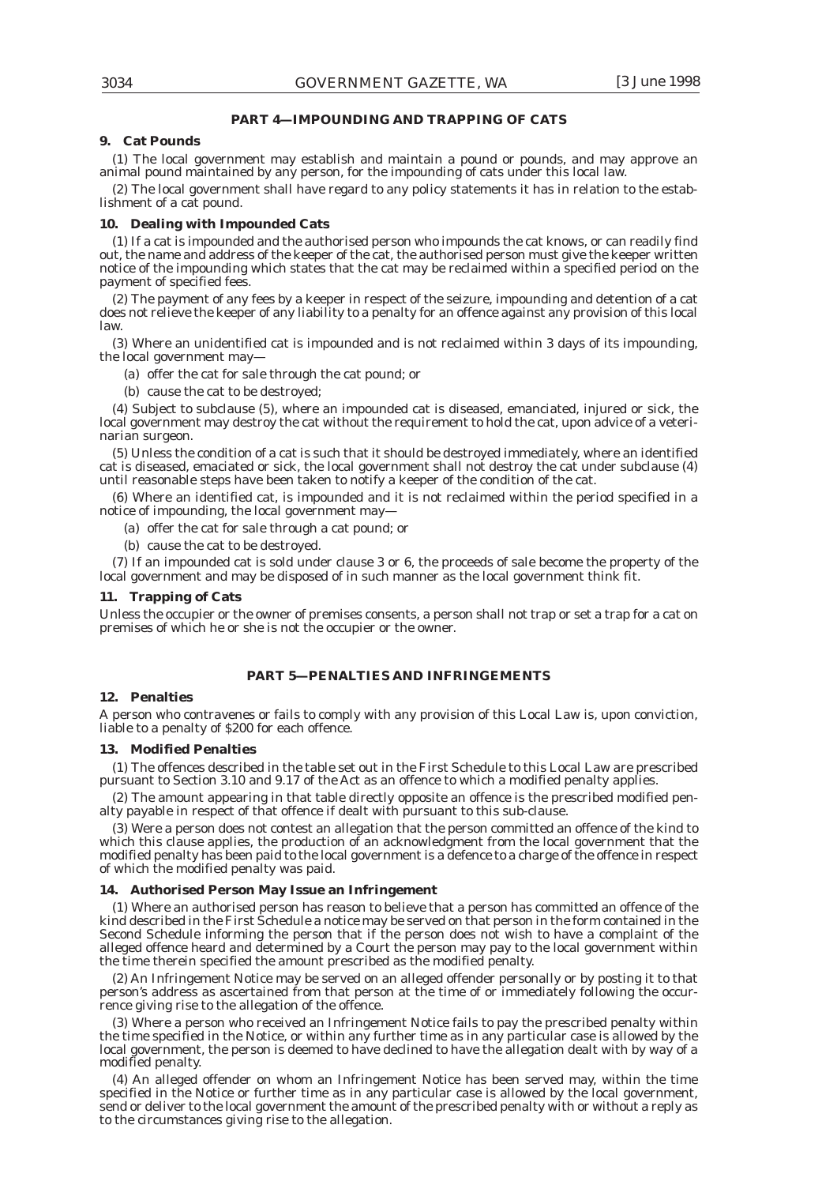# **PART 4—IMPOUNDING AND TRAPPING OF CATS**

#### **9. Cat Pounds**

(1) The local government may establish and maintain a pound or pounds, and may approve an animal pound maintained by any person, for the impounding of cats under this local law.

(2) The local government shall have regard to any policy statements it has in relation to the establishment of a cat pound.

#### **10. Dealing with Impounded Cats**

(1) If a cat is impounded and the authorised person who impounds the cat knows, or can readily find out, the name and address of the keeper of the cat, the authorised person must give the keeper written notice of the impounding which states that the cat may be reclaimed within a specified period on the payment of specified fees.

(2) The payment of any fees by a keeper in respect of the seizure, impounding and detention of a cat does not relieve the keeper of any liability to a penalty for an offence against any provision of this local law.

(3) Where an unidentified cat is impounded and is not reclaimed within 3 days of its impounding, the local government may—

- (a) offer the cat for sale through the cat pound; or
- (b) cause the cat to be destroyed;

(4) Subject to subclause (5), where an impounded cat is diseased, emanciated, injured or sick, the local government may destroy the cat without the requirement to hold the cat, upon advice of a veterinarian surgeon.

(5) Unless the condition of a cat is such that it should be destroyed immediately, where an identified cat is diseased, emaciated or sick, the local government shall not destroy the cat under subclause (4) until reasonable steps have been taken to notify a keeper of the condition of the cat.

(6) Where an identified cat, is impounded and it is not reclaimed within the period specified in a notice of impounding, the local government may—

- (a) offer the cat for sale through a cat pound; or
- (b) cause the cat to be destroyed.

(7) If an impounded cat is sold under clause 3 or 6, the proceeds of sale become the property of the local government and may be disposed of in such manner as the local government think fit.

#### **11. Trapping of Cats**

Unless the occupier or the owner of premises consents, a person shall not trap or set a trap for a cat on premises of which he or she is not the occupier or the owner.

#### **PART 5—PENALTIES AND INFRINGEMENTS**

### **12. Penalties**

A person who contravenes or fails to comply with any provision of this Local Law is, upon conviction, liable to a penalty of \$200 for each offence.

#### **13. Modified Penalties**

(1) The offences described in the table set out in the First Schedule to this Local Law are prescribed pursuant to Section 3.10 and 9.17 of the Act as an offence to which a modified penalty applies.

(2) The amount appearing in that table directly opposite an offence is the prescribed modified penalty payable in respect of that offence if dealt with pursuant to this sub-clause.

(3) Were a person does not contest an allegation that the person committed an offence of the kind to which this clause applies, the production of an acknowledgment from the local government that the modified penalty has been paid to the local government is a defence to a charge of the offence in respect of which the modified penalty was paid.

#### **14. Authorised Person May Issue an Infringement**

(1) Where an authorised person has reason to believe that a person has committed an offence of the kind described in the First Schedule a notice may be served on that person in the form contained in the Second Schedule informing the person that if the person does not wish to have a complaint of the alleged offence heard and determined by a Court the person may pay to the local government within the time therein specified the amount prescribed as the modified penalty.

(2) An Infringement Notice may be served on an alleged offender personally or by posting it to that person's address as ascertained from that person at the time of or immediately following the occurrence giving rise to the allegation of the offence.

(3) Where a person who received an Infringement Notice fails to pay the prescribed penalty within the time specified in the Notice, or within any further time as in any particular case is allowed by the local government, the person is deemed to have declined to have the allegation dealt with by way of a modified penalty.

(4) An alleged offender on whom an Infringement Notice has been served may, within the time specified in the Notice or further time as in any particular case is allowed by the local government, send or deliver to the local government the amount of the prescribed penalty with or without a reply as to the circumstances giving rise to the allegation.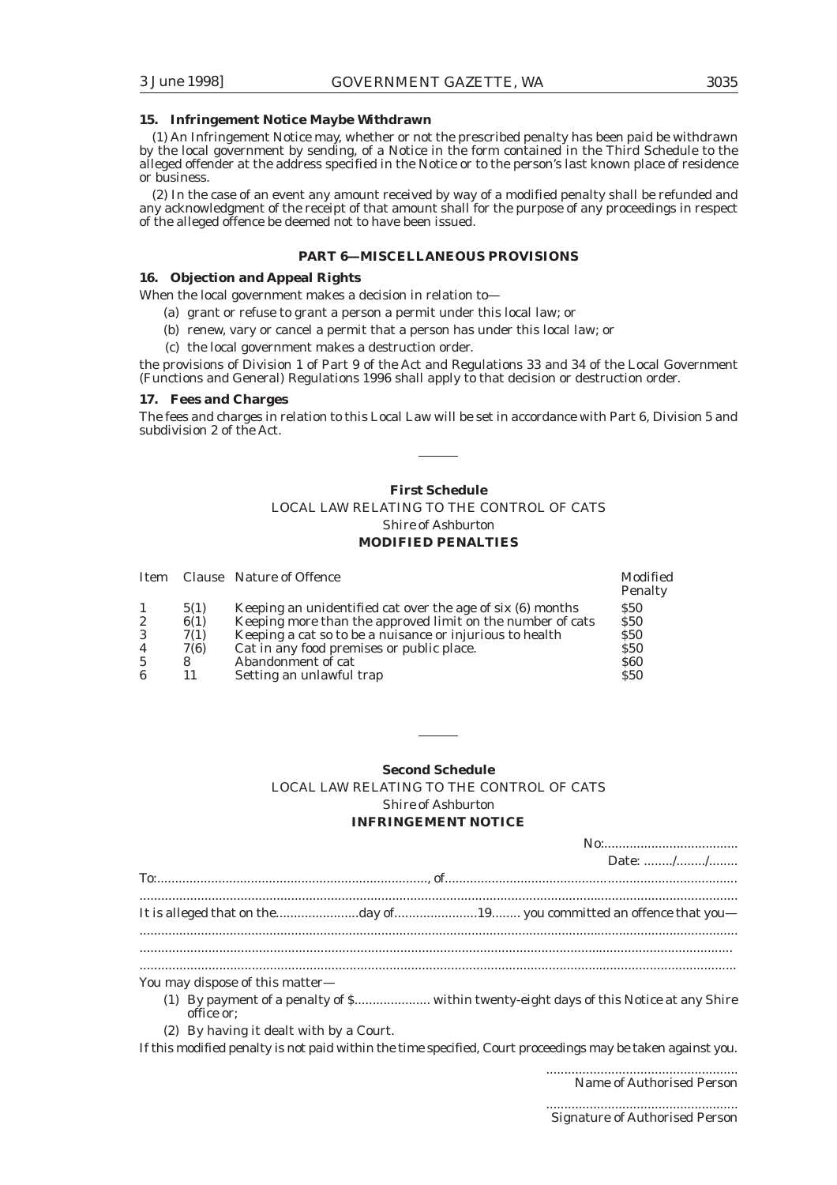## **15. Infringement Notice Maybe Withdrawn**

(1) An Infringement Notice may, whether or not the prescribed penalty has been paid be withdrawn by the local government by sending, of a Notice in the form contained in the Third Schedule to the alleged offender at the address specified in the Notice or to the person's last known place of residence or business.

(2) In the case of an event any amount received by way of a modified penalty shall be refunded and any acknowledgment of the receipt of that amount shall for the purpose of any proceedings in respect of the alleged offence be deemed not to have been issued.

## **PART 6—MISCELLANEOUS PROVISIONS**

## **16. Objection and Appeal Rights**

When the local government makes a decision in relation to—

- (a) grant or refuse to grant a person a permit under this local law; or
- (b) renew, vary or cancel a permit that a person has under this local law; or
- (c) the local government makes a destruction order.

the provisions of Division 1 of Part 9 of the Act and Regulations 33 and 34 of the Local Government (Functions and General) Regulations 1996 shall apply to that decision or destruction order.

### **17. Fees and Charges**

The fees and charges in relation to this Local Law will be set in accordance with Part 6, Division 5 and subdivision 2 of the Act.

## **First Schedule**

# LOCAL LAW RELATING TO THE CONTROL OF CATS *Shire of Ashburton* **MODIFIED PENALTIES**

|                |      | Item Clause Nature of Offence                              | Modified<br>Penalty |
|----------------|------|------------------------------------------------------------|---------------------|
| 1              | 5(1) | Keeping an unidentified cat over the age of six (6) months | <b>S50</b>          |
| $\mathbf{2}$   | 6(1) | Keeping more than the approved limit on the number of cats | <b>S50</b>          |
| 3              | 7(1) | Keeping a cat so to be a nuisance or injurious to health   | <b>S50</b>          |
| $\overline{4}$ | 7(6) | Cat in any food premises or public place.                  | <b>S50</b>          |
| $\overline{5}$ | 8    | Abandonment of cat                                         | <b>S60</b>          |
| 6              | 11   | Setting an unlawful trap                                   | \$50                |

#### **Second Schedule**

LOCAL LAW RELATING TO THE CONTROL OF CATS *Shire of Ashburton* **INFRINGEMENT NOTICE**

|                                                                                                     | Date: // |
|-----------------------------------------------------------------------------------------------------|----------|
|                                                                                                     |          |
|                                                                                                     |          |
|                                                                                                     |          |
|                                                                                                     |          |
|                                                                                                     |          |
|                                                                                                     |          |
| You may dispose of this matter—                                                                     |          |
| (1) By payment of a penalty of S within twenty-eight days of this Notice at any Shire<br>office or: |          |
| (2) By having it dealt with by a Court.                                                             |          |

If this modified penalty is not paid within the time specified, Court proceedings may be taken against you.

..................................................... Name of Authorised Person

..................................................... Signature of Authorised Person